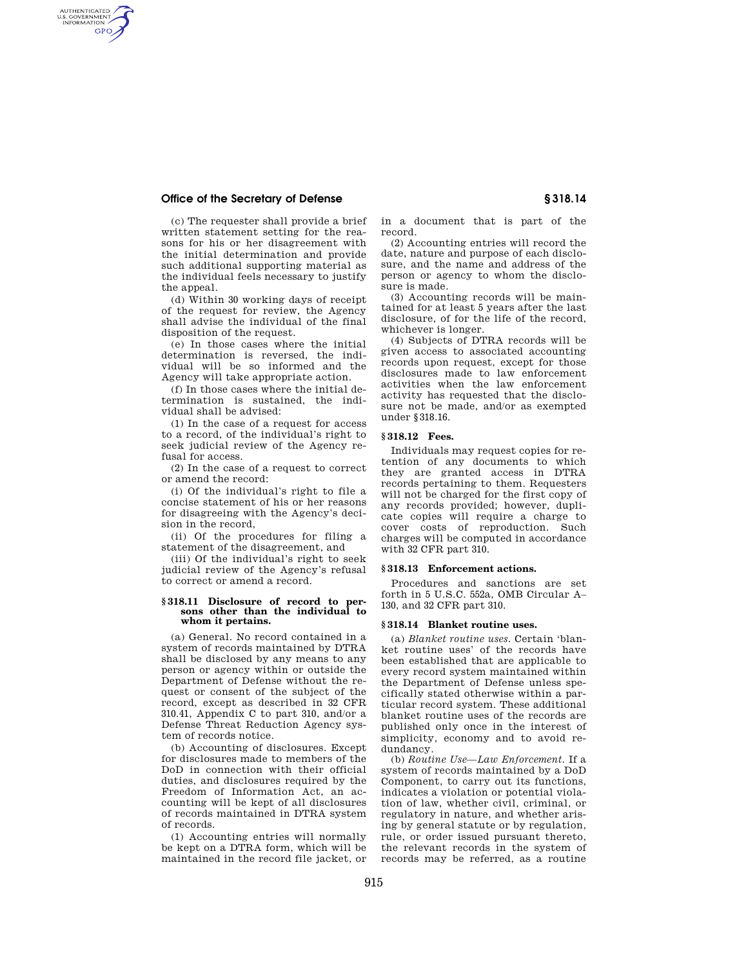# **Office of the Secretary of Defense § 318.14**

AUTHENTICATED<br>U.S. GOVERNMENT<br>INFORMATION GPO

> (c) The requester shall provide a brief written statement setting for the reasons for his or her disagreement with the initial determination and provide such additional supporting material as the individual feels necessary to justify the appeal.

> (d) Within 30 working days of receipt of the request for review, the Agency shall advise the individual of the final disposition of the request.

> (e) In those cases where the initial determination is reversed, the individual will be so informed and the Agency will take appropriate action.

> (f) In those cases where the initial determination is sustained, the individual shall be advised:

> (1) In the case of a request for access to a record, of the individual's right to seek judicial review of the Agency refusal for access.

(2) In the case of a request to correct or amend the record:

(i) Of the individual's right to file a concise statement of his or her reasons for disagreeing with the Agency's decision in the record,

(ii) Of the procedures for filing a statement of the disagreement, and

(iii) Of the individual's right to seek judicial review of the Agency's refusal to correct or amend a record.

#### **§ 318.11 Disclosure of record to persons other than the individual to whom it pertains.**

(a) General. No record contained in a system of records maintained by DTRA shall be disclosed by any means to any person or agency within or outside the Department of Defense without the request or consent of the subject of the record, except as described in 32 CFR 310.41, Appendix C to part 310, and/or a Defense Threat Reduction Agency system of records notice.

(b) Accounting of disclosures. Except for disclosures made to members of the DoD in connection with their official duties, and disclosures required by the Freedom of Information Act, an accounting will be kept of all disclosures of records maintained in DTRA system of records.

(1) Accounting entries will normally be kept on a DTRA form, which will be maintained in the record file jacket, or in a document that is part of the record.

(2) Accounting entries will record the date, nature and purpose of each disclosure, and the name and address of the person or agency to whom the disclosure is made.

(3) Accounting records will be maintained for at least 5 years after the last disclosure, of for the life of the record, whichever is longer.

(4) Subjects of DTRA records will be given access to associated accounting records upon request, except for those disclosures made to law enforcement activities when the law enforcement activity has requested that the disclosure not be made, and/or as exempted under §318.16.

### **§ 318.12 Fees.**

Individuals may request copies for retention of any documents to which they are granted access in DTRA records pertaining to them. Requesters will not be charged for the first copy of any records provided; however, duplicate copies will require a charge to cover costs of reproduction. Such charges will be computed in accordance with 32 CFR part 310.

## **§ 318.13 Enforcement actions.**

Procedures and sanctions are set forth in 5 U.S.C. 552a, OMB Circular A– 130, and 32 CFR part 310.

#### **§ 318.14 Blanket routine uses.**

(a) *Blanket routine uses.* Certain 'blanket routine uses' of the records have been established that are applicable to every record system maintained within the Department of Defense unless specifically stated otherwise within a particular record system. These additional blanket routine uses of the records are published only once in the interest of simplicity, economy and to avoid redundancy.

(b) *Routine Use—Law Enforcement.* If a system of records maintained by a DoD Component, to carry out its functions, indicates a violation or potential violation of law, whether civil, criminal, or regulatory in nature, and whether arising by general statute or by regulation, rule, or order issued pursuant thereto, the relevant records in the system of records may be referred, as a routine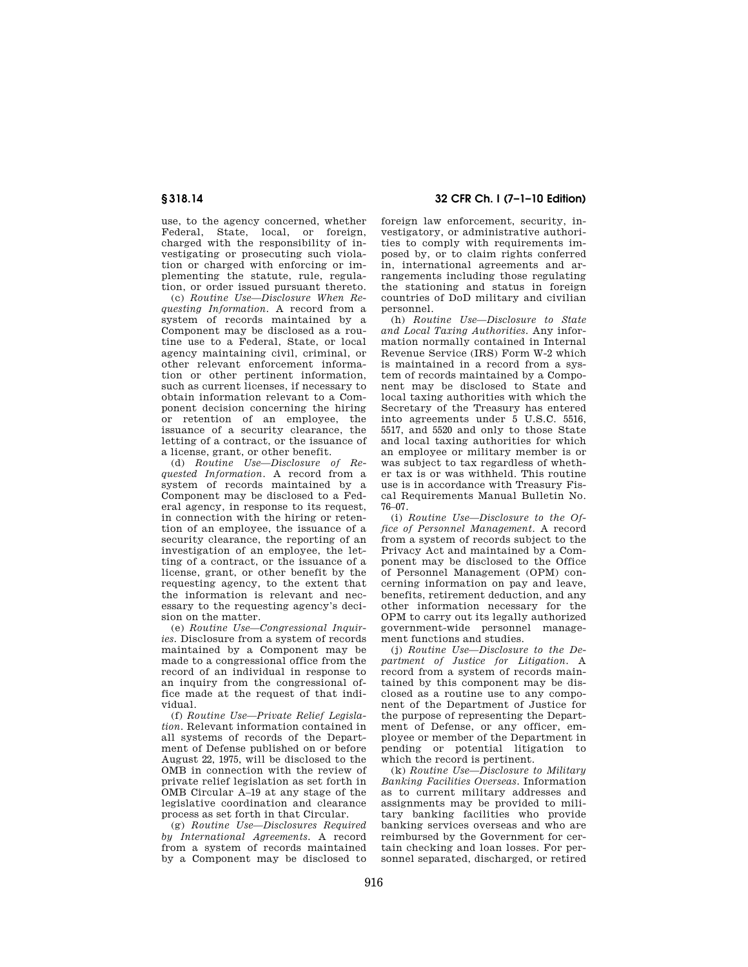use, to the agency concerned, whether Federal, State, local, or foreign, charged with the responsibility of investigating or prosecuting such violation or charged with enforcing or implementing the statute, rule, regulation, or order issued pursuant thereto.

(c) *Routine Use—Disclosure When Requesting Information.* A record from a system of records maintained by a Component may be disclosed as a routine use to a Federal, State, or local agency maintaining civil, criminal, or other relevant enforcement information or other pertinent information, such as current licenses, if necessary to obtain information relevant to a Component decision concerning the hiring or retention of an employee, the issuance of a security clearance, the letting of a contract, or the issuance of a license, grant, or other benefit.

(d) *Routine Use—Disclosure of Requested Information.* A record from a system of records maintained by a Component may be disclosed to a Federal agency, in response to its request, in connection with the hiring or retention of an employee, the issuance of a security clearance, the reporting of an investigation of an employee, the letting of a contract, or the issuance of a license, grant, or other benefit by the requesting agency, to the extent that the information is relevant and necessary to the requesting agency's decision on the matter.

(e) *Routine Use—Congressional Inquiries.* Disclosure from a system of records maintained by a Component may be made to a congressional office from the record of an individual in response to an inquiry from the congressional office made at the request of that individual.

(f) *Routine Use—Private Relief Legislation.* Relevant information contained in all systems of records of the Department of Defense published on or before August 22, 1975, will be disclosed to the OMB in connection with the review of private relief legislation as set forth in OMB Circular A–19 at any stage of the legislative coordination and clearance process as set forth in that Circular.

(g) *Routine Use—Disclosures Required by International Agreements.* A record from a system of records maintained by a Component may be disclosed to

**§ 318.14 32 CFR Ch. I (7–1–10 Edition)** 

foreign law enforcement, security, investigatory, or administrative authorities to comply with requirements imposed by, or to claim rights conferred in, international agreements and arrangements including those regulating the stationing and status in foreign countries of DoD military and civilian personnel.

(h) *Routine Use—Disclosure to State and Local Taxing Authorities.* Any information normally contained in Internal Revenue Service (IRS) Form W-2 which is maintained in a record from a system of records maintained by a Component may be disclosed to State and local taxing authorities with which the Secretary of the Treasury has entered into agreements under 5 U.S.C. 5516, 5517, and 5520 and only to those State and local taxing authorities for which an employee or military member is or was subject to tax regardless of whether tax is or was withheld. This routine use is in accordance with Treasury Fiscal Requirements Manual Bulletin No. 76–07.

(i) *Routine Use—Disclosure to the Office of Personnel Management.* A record from a system of records subject to the Privacy Act and maintained by a Component may be disclosed to the Office of Personnel Management (OPM) concerning information on pay and leave, benefits, retirement deduction, and any other information necessary for the OPM to carry out its legally authorized government-wide personnel management functions and studies.

(j) *Routine Use—Disclosure to the Department of Justice for Litigation.* A record from a system of records maintained by this component may be disclosed as a routine use to any component of the Department of Justice for the purpose of representing the Department of Defense, or any officer, employee or member of the Department in pending or potential litigation to which the record is pertinent.

(k) *Routine Use—Disclosure to Military Banking Facilities Overseas.* Information as to current military addresses and assignments may be provided to military banking facilities who provide banking services overseas and who are reimbursed by the Government for certain checking and loan losses. For personnel separated, discharged, or retired